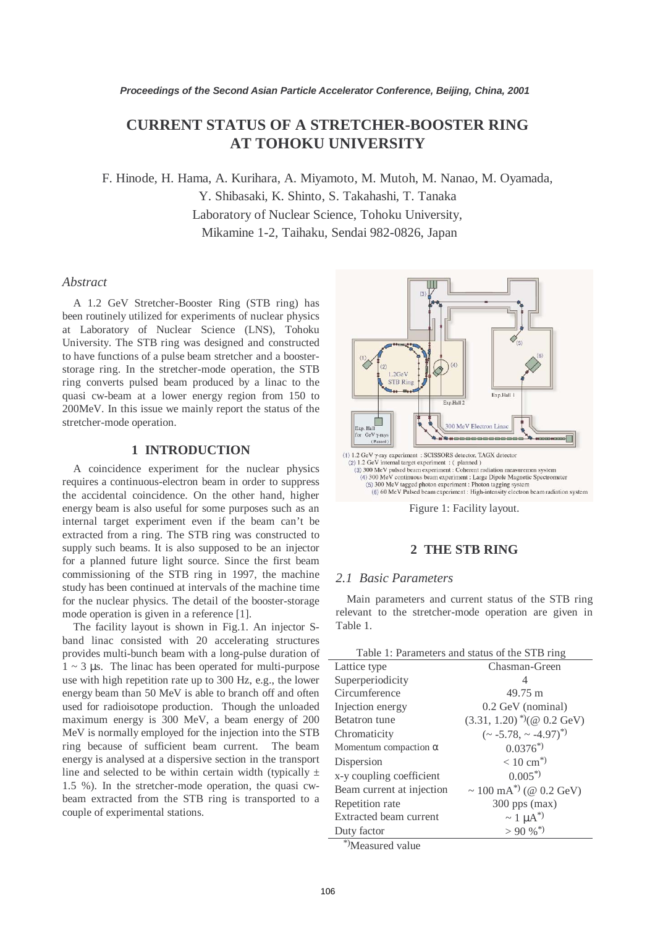# **CURRENT STATUS OF A STRETCHER-BOOSTER RING AT TOHOKU UNIVERSITY**

F. Hinode, H. Hama, A. Kurihara, A. Miyamoto, M. Mutoh, M. Nanao, M. Oyamada, Y. Shibasaki, K. Shinto, S. Takahashi, T. Tanaka Laboratory of Nuclear Science, Tohoku University, Mikamine 1-2, Taihaku, Sendai 982-0826, Japan

## *Abstract*

A 1.2 GeV Stretcher-Booster Ring (STB ring) has been routinely utilized for experiments of nuclear physics at Laboratory of Nuclear Science (LNS), Tohoku University. The STB ring was designed and constructed to have functions of a pulse beam stretcher and a boosterstorage ring. In the stretcher-mode operation, the STB ring converts pulsed beam produced by a linac to the quasi cw-beam at a lower energy region from 150 to 200MeV. In this issue we mainly report the status of the stretcher-mode operation.

## **1 INTRODUCTION**

A coincidence experiment for the nuclear physics requires a continuous-electron beam in order to suppress the accidental coincidence. On the other hand, higher energy beam is also useful for some purposes such as an internal target experiment even if the beam can't be extracted from a ring. The STB ring was constructed to supply such beams. It is also supposed to be an injector for a planned future light source. Since the first beam commissioning of the STB ring in 1997, the machine study has been continued at intervals of the machine time for the nuclear physics. The detail of the booster-storage mode operation is given in a reference [1].

The facility layout is shown in Fig.1. An injector Sband linac consisted with 20 accelerating structures provides multi-bunch beam with a long-pulse duration of  $1 \sim 3$  µs. The linac has been operated for multi-purpose use with high repetition rate up to 300 Hz, e.g., the lower energy beam than 50 MeV is able to branch off and often used for radioisotope production. Though the unloaded maximum energy is 300 MeV, a beam energy of 200 MeV is normally employed for the injection into the STB ring because of sufficient beam current. The beam energy is analysed at a dispersive section in the transport line and selected to be within certain width (typically  $\pm$ 1.5 %). In the stretcher-mode operation, the quasi cwbeam extracted from the STB ring is transported to a couple of experimental stations.



Figure 1: Facility layout.

#### **2 THE STB RING**

# *2.1 Basic Parameters*

Main parameters and current status of the STB ring relevant to the stretcher-mode operation are given in Table 1.

| Table 1: Parameters and status of the STB ring |                                                              |
|------------------------------------------------|--------------------------------------------------------------|
| Lattice type                                   | Chasman-Green                                                |
| Superperiodicity                               | 4                                                            |
| Circumference                                  | 49.75 m                                                      |
| Injection energy                               | $0.2$ GeV (nominal)                                          |
| Betatron tune                                  | $(3.31, 1.20)^{(*)}$ $(\text{\textdegree } 0.2 \text{ GeV})$ |
| Chromaticity                                   | $(-5.78, -4.97)^{*})$                                        |
| Momentum compaction $\alpha$                   | $0.0376^{*}$                                                 |
| Dispersion                                     | $< 10 \text{ cm}^*$                                          |
| x-y coupling coefficient                       | $0.005^{*}$                                                  |
| Beam current at injection                      | ~ 100 mA <sup>*</sup> ) (@ 0.2 GeV)                          |
| Repetition rate                                | $300$ pps (max)                                              |
| Extracted beam current                         | $\sim 1 \mu A^{*}$                                           |
| Duty factor                                    | $> 90\%$ <sup>*)</sup>                                       |

\*)Measured value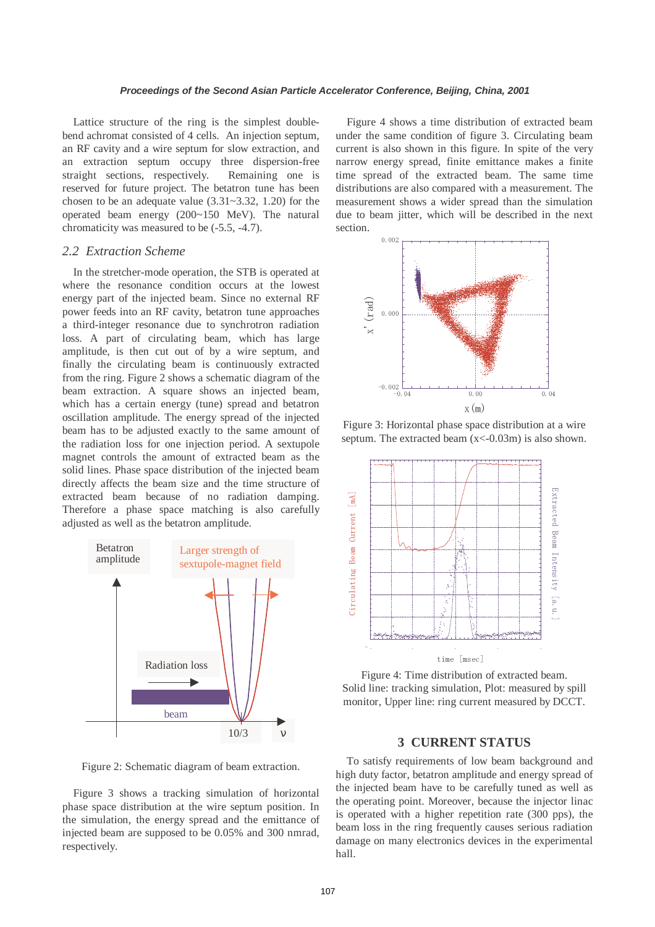Lattice structure of the ring is the simplest doublebend achromat consisted of 4 cells. An injection septum, an RF cavity and a wire septum for slow extraction, and an extraction septum occupy three dispersion-free straight sections, respectively. Remaining one is reserved for future project. The betatron tune has been chosen to be an adequate value  $(3.31 \times 3.32, 1.20)$  for the operated beam energy (200~150 MeV). The natural chromaticity was measured to be (-5.5, -4.7).

# *2.2 Extraction Scheme*

In the stretcher-mode operation, the STB is operated at where the resonance condition occurs at the lowest energy part of the injected beam. Since no external RF power feeds into an RF cavity, betatron tune approaches a third-integer resonance due to synchrotron radiation loss. A part of circulating beam, which has large amplitude, is then cut out of by a wire septum, and finally the circulating beam is continuously extracted from the ring. Figure 2 shows a schematic diagram of the beam extraction. A square shows an injected beam, which has a certain energy (tune) spread and betatron oscillation amplitude. The energy spread of the injected beam has to be adjusted exactly to the same amount of the radiation loss for one injection period. A sextupole magnet controls the amount of extracted beam as the solid lines. Phase space distribution of the injected beam directly affects the beam size and the time structure of extracted beam because of no radiation damping. Therefore a phase space matching is also carefully adjusted as well as the betatron amplitude.



Figure 2: Schematic diagram of beam extraction.

Figure 3 shows a tracking simulation of horizontal phase space distribution at the wire septum position. In the simulation, the energy spread and the emittance of injected beam are supposed to be 0.05% and 300 nmrad, respectively.

Figure 4 shows a time distribution of extracted beam under the same condition of figure 3. Circulating beam current is also shown in this figure. In spite of the very narrow energy spread, finite emittance makes a finite time spread of the extracted beam. The same time distributions are also compared with a measurement. The measurement shows a wider spread than the simulation due to beam jitter, which will be described in the next section.



Figure 3: Horizontal phase space distribution at a wire septum. The extracted beam  $(x < -0.03m)$  is also shown.



Figure 4: Time distribution of extracted beam. Solid line: tracking simulation, Plot: measured by spill monitor, Upper line: ring current measured by DCCT.

### **3 CURRENT STATUS**

To satisfy requirements of low beam background and high duty factor, betatron amplitude and energy spread of the injected beam have to be carefully tuned as well as the operating point. Moreover, because the injector linac is operated with a higher repetition rate (300 pps), the beam loss in the ring frequently causes serious radiation damage on many electronics devices in the experimental hall.